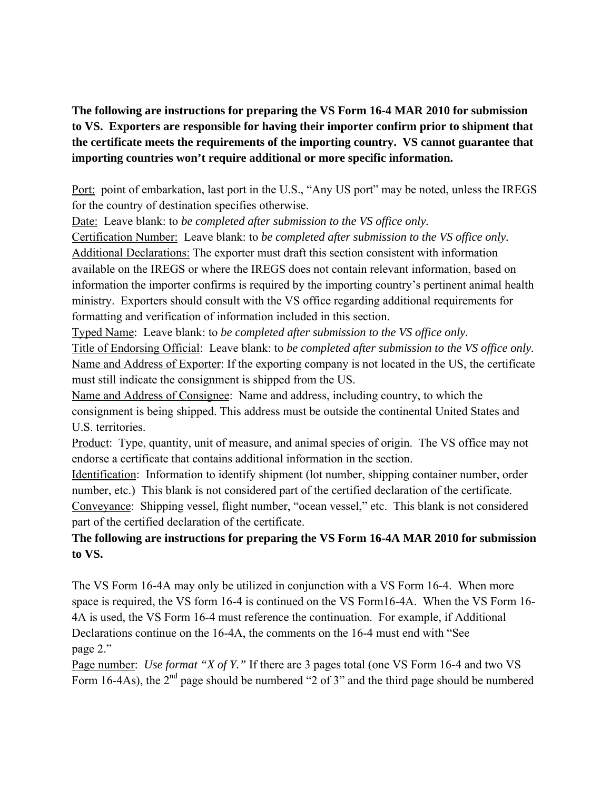**The following are instructions for preparing the VS Form 16-4 MAR 2010 for submission to VS. Exporters are responsible for having their importer confirm prior to shipment that the certificate meets the requirements of the importing country. VS cannot guarantee that importing countries won't require additional or more specific information.** 

Port: point of embarkation, last port in the U.S., "Any US port" may be noted, unless the IREGS for the country of destination specifies otherwise.

Date: Leave blank: to *be completed after submission to the VS office only.* 

Certification Number: Leave blank: to *be completed after submission to the VS office only.*  Additional Declarations: The exporter must draft this section consistent with information available on the IREGS or where the IREGS does not contain relevant information, based on information the importer confirms is required by the importing country's pertinent animal health ministry. Exporters should consult with the VS office regarding additional requirements for formatting and verification of information included in this section.

Typed Name: Leave blank: to *be completed after submission to the VS office only.* 

Title of Endorsing Official: Leave blank: to *be completed after submission to the VS office only.*  Name and Address of Exporter: If the exporting company is not located in the US, the certificate must still indicate the consignment is shipped from the US.

Name and Address of Consignee: Name and address, including country, to which the consignment is being shipped. This address must be outside the continental United States and U.S. territories.

Product: Type, quantity, unit of measure, and animal species of origin. The VS office may not endorse a certificate that contains additional information in the section.

Identification: Information to identify shipment (lot number, shipping container number, order number, etc.) This blank is not considered part of the certified declaration of the certificate. Conveyance: Shipping vessel, flight number, "ocean vessel," etc. This blank is not considered part of the certified declaration of the certificate.

## **The following are instructions for preparing the VS Form 16-4A MAR 2010 for submission to VS.**

The VS Form 16-4A may only be utilized in conjunction with a VS Form 16-4. When more space is required, the VS form 16-4 is continued on the VS Form16-4A. When the VS Form 16- 4A is used, the VS Form 16-4 must reference the continuation. For example, if Additional Declarations continue on the 16-4A, the comments on the 16-4 must end with "See page 2."

Page number: *Use format "X of Y."* If there are 3 pages total (one VS Form 16-4 and two VS Form 16-4As), the  $2<sup>nd</sup>$  page should be numbered "2 of 3" and the third page should be numbered